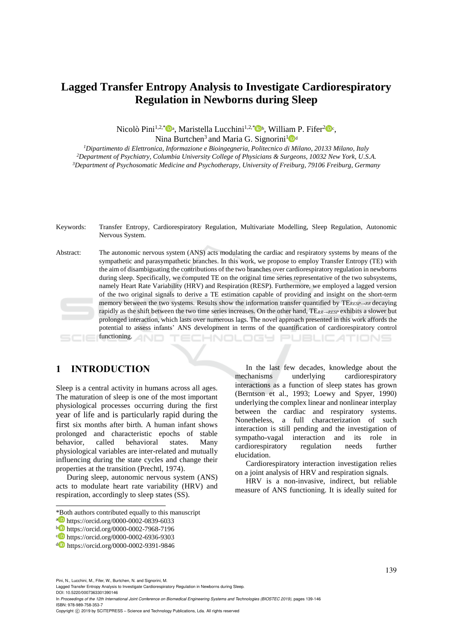# **Lagged Transfer Entropy Analysis to Investigate Cardiorespiratory Regulation in Newborns during Sleep**

Nicolò Pini<sup>1,2,\*</sup><sup>0</sup><sup>a</sup>, Maristella Lucchini<sup>1,2,\*</sup><sup>0</sup>b, William P. Fifer<sup>2</sup><sup>0</sup>c,

Nina Burtchen<sup>3</sup> and Maria G. Signorini<sup>1</sup><sup>0</sup>

*<sup>1</sup>Dipartimento di Elettronica, Informazione e Bioingegneria, Politecnico di Milano, 20133 Milano, Italy <sup>2</sup>Department of Psychiatry, Columbia University College of Physicians & Surgeons, 10032 New York, U.S.A. <sup>3</sup>Department of Psychosomatic Medicine and Psychotherapy, University of Freiburg, 79106 Freiburg, Germany*

Keywords: Transfer Entropy, Cardiorespiratory Regulation, Multivariate Modelling, Sleep Regulation, Autonomic Nervous System. Abstract: The autonomic nervous system (ANS) acts modulating the cardiac and respiratory systems by means of the sympathetic and parasympathetic branches. In this work, we propose to employ Transfer Entropy (TE) with the aim of disambiguating the contributions of the two branches over cardiorespiratory regulation in newborns during sleep. Specifically, we computed TE on the original time series representative of the two subsystems, namely Heart Rate Variability (HRV) and Respiration (RESP). Furthermore, we employed a lagged version of the two original signals to derive a TE estimation capable of providing and insight on the short-term memory between the two systems. Results show the information transfer quantified by TE*RESP→RR* decaying rapidly as the shift between the two time series increases. On the other hand, TE*RR→RESP* exhibits a slower but prolonged interaction, which lasts over numerous lags. The novel approach presented in this work affords the potential to assess infants' ANS development in terms of the quantification of cardiorespiratory control functioning. HNOLOGY TIONS

## **1 INTRODUCTION**

Sleep is a central activity in humans across all ages. The maturation of sleep is one of the most important physiological processes occurring during the first year of life and is particularly rapid during the first six months after birth. A human infant shows prolonged and characteristic epochs of stable behavior, called behavioral states. Many physiological variables are inter-related and mutually influencing during the state cycles and change their properties at the transition (Prechtl, 1974).

During sleep, autonomic nervous system (ANS) acts to modulate heart rate variability (HRV) and respiration, accordingly to sleep states (SS).

 $\overline{a}$ 

In the last few decades, knowledge about the mechanisms underlying cardiorespiratory interactions as a function of sleep states has grown (Berntson et al., 1993; Loewy and Spyer, 1990) underlying the complex linear and nonlinear interplay between the cardiac and respiratory systems. Nonetheless, a full characterization of such interaction is still pending and the investigation of sympatho-vagal interaction and its role in cardiorespiratory regulation needs further elucidation.

Cardiorespiratory interaction investigation relies on a joint analysis of HRV and respiration signals.

HRV is a non-invasive, indirect, but reliable measure of ANS functioning. It is ideally suited for

ISBN: 978-989-758-353-7

<sup>\*</sup>Both authors contributed equally to this manuscript

<sup>a</sup> https://orcid.org/0000-0002-0839-6033

<sup>b</sup> https://orcid.org/0000-0002-7968-7196

c https://orcid.org/0000-0002-6936-9303

<sup>d</sup> https://orcid.org/0000-0002-9391-9846

Pini, N., Lucchini, M., Fifer, W., Burtchen, N. and Signorini, M.

Lagged Transfer Entropy Analysis to Investigate Cardiorespiratory Regulation in Newborns during Sleep. DOI: 10.5220/0007363301390146

In *Proceedings of the 12th International Joint Conference on Biomedical Engineering Systems and Technologies (BIOSTEC 2019)*, pages 139-146

Copyright © 2019 by SCITEPRESS - Science and Technology Publications, Lda. All rights reserved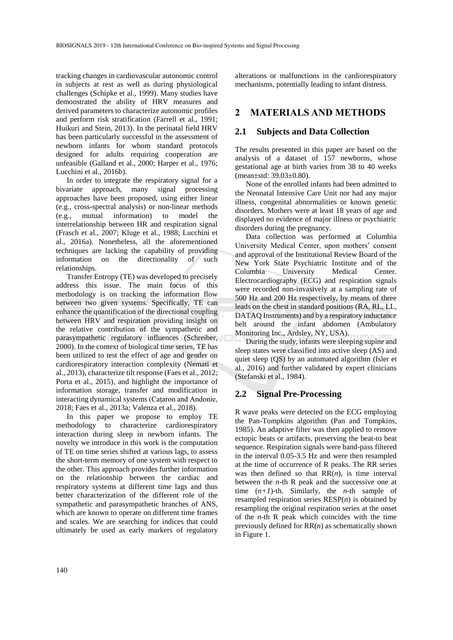tracking changes in cardiovascular autonomic control in subjects at rest as well as during physiological challenges (Schipke et al., 1999). Many studies have demonstrated the ability of HRV measures and derived parameters to characterize autonomic profiles and perform risk stratification (Farrell et al., 1991; Huikuri and Stein, 2013). In the perinatal field HRV has been particularly successful in the assessment of newborn infants for whom standard protocols designed for adults requiring cooperation are unfeasible (Galland et al., 2000; Harper et al., 1976; Lucchini et al., 2016b).

In order to integrate the respiratory signal for a bivariate approach, many signal processing approaches have been proposed, using either linear (e.g., cross-spectral analysis) or non-linear methods (e.g., mutual information) to model the interrelationship between HR and respiration signal (Frasch et al., 2007; Kluge et al., 1988; Lucchini et al., 2016a). Nonetheless, all the aforementioned techniques are lacking the capability of providing information on the directionality of such relationships.

Transfer Entropy (TE) was developed to precisely address this issue. The main focus of this methodology is on tracking the information flow between two given systems. Specifically, TE can enhance the quantification of the directional coupling between HRV and respiration providing insight on the relative contribution of the sympathetic and parasympathetic regulatory influences (Schreiber, 2000). In the context of biological time series, TE has been utilized to test the effect of age and gender on cardiorespiratory interaction complexity (Nemati et al., 2013), characterize tilt response (Faes et al., 2012; Porta et al., 2015), and highlight the importance of information storage, transfer and modification in interacting dynamical systems (Cataron and Andonie, 2018; Faes et al., 2013a; Valenza et al., 2018).

In this paper we propose to employ TE methodology to characterize cardiorespiratory interaction during sleep in newborn infants. The novelty we introduce in this work is the computation of TE on time series shifted at various lags, to assess the short-term memory of one system with respect to the other. This approach provides further information on the relationship between the cardiac and respiratory systems at different time lags and thus better characterization of the different role of the sympathetic and parasympathetic branches of ANS, which are known to operate on different time frames and scales. We are searching for indices that could ultimately be used as early markers of regulatory

alterations or malfunctions in the cardiorespiratory mechanisms, potentially leading to infant distress.

## **2 MATERIALS AND METHODS**

### **2.1 Subjects and Data Collection**

The results presented in this paper are based on the analysis of a dataset of 157 newborns, whose gestational age at birth varies from 38 to 40 weeks (mean±std: 39.03±0.80).

None of the enrolled infants had been admitted to the Neonatal Intensive Care Unit nor had any major illness, congenital abnormalities or known genetic disorders. Mothers were at least 18 years of age and displayed no evidence of major illness or psychiatric disorders during the pregnancy.

Data collection was performed at Columbia University Medical Center, upon mothers' consent and approval of the Institutional Review Board of the New York State Psychiatric Institute and of the Columbia University Medical Center. Electrocardiography (ECG) and respiration signals were recorded non-invasively at a sampling rate of 500 Hz and 200 Hz respectively, by means of three leads on the chest in standard positions (RA, RL, LL, DATAQ Instruments) and by a respiratory inductance belt around the infant abdomen (Ambulatory Monitoring Inc., Ardsley, NY, USA).

During the study, infants were sleeping supine and sleep states were classified into active sleep (AS) and quiet sleep (QS) by an automated algorithm (Isler et al., 2016) and further validated by expert clinicians (Stefanski et al., 1984).

## **2.2 Signal Pre-Processing**

R wave peaks were detected on the ECG employing the Pan-Tompkins algorithm (Pan and Tompkins, 1985). An adaptive filter was then applied to remove ectopic beats or artifacts, preserving the beat-to beat sequence. Respiration signals were band-pass filtered in the interval 0.05-3.5 Hz and were then resampled at the time of occurrence of R peaks. The RR series was then defined so that  $RR(n)$ , is time interval between the *n*-th R peak and the successive one at time  $(n+1)$ -th. Similarly, the *n*-th sample of resampled respiration series RESP(*n*) is obtained by resampling the original respiration series at the onset of the *n*-th R peak which coincides with the time previously defined for RR(*n*) as schematically shown in Figure 1.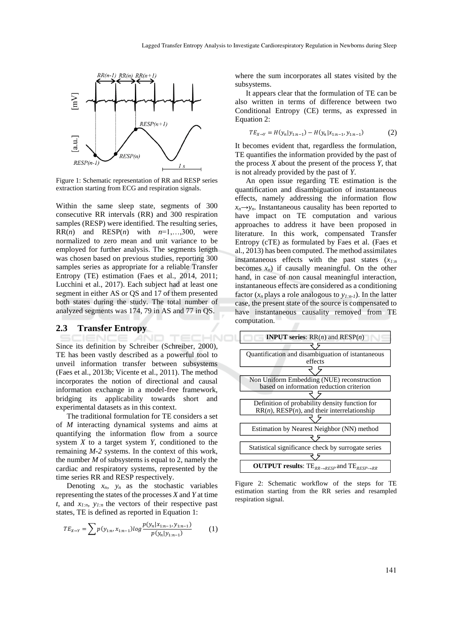

Figure 1: Schematic representation of RR and RESP series extraction starting from ECG and respiration signals.

Within the same sleep state, segments of 300 consecutive RR intervals (RR) and 300 respiration samples (RESP) were identified. The resulting series,  $RR(n)$  and  $RESP(n)$  with  $n=1,...,300$ , were normalized to zero mean and unit variance to be employed for further analysis. The segments length was chosen based on previous studies, reporting 300 samples series as appropriate for a reliable Transfer Entropy (TE) estimation (Faes et al., 2014, 2011; Lucchini et al., 2017). Each subject had at least one segment in either AS or QS and 17 of them presented both states during the study. The total number of analyzed segments was 174, 79 in AS and 77 in QS.

#### **2.3 Transfer Entropy**

HND Since its definition by Schreiber (Schreiber, 2000), TE has been vastly described as a powerful tool to unveil information transfer between subsystems (Faes et al., 2013b; Vicente et al., 2011). The method incorporates the notion of directional and causal information exchange in a model-free framework, bridging its applicability towards short and experimental datasets as in this context.

The traditional formulation for TE considers a set of *M* interacting dynamical systems and aims at quantifying the information flow from a source system *X* to a target system *Y,* conditioned to the remaining *M-2* systems. In the context of this work, the number *M* of subsystems is equal to 2, namely the cardiac and respiratory systems, represented by the time series RR and RESP respectively.

Denoting  $x_n$ ,  $y_n$  as the stochastic variables representing the states of the processes *X* and *Y* at time *t*, and  $x_{l:n}$ ,  $y_{l:n}$  the vectors of their respective past states, TE is defined as reported in Equation 1:

$$
TE_{X\to Y} = \sum p(y_{1:n}, x_{1:n-1}) log \frac{p(y_n | x_{1:n-1}, y_{1:n-1})}{p(y_n | y_{1:n-1})}
$$
(1)

where the sum incorporates all states visited by the subsystems.

It appears clear that the formulation of TE can be also written in terms of difference between two Conditional Entropy (CE) terms, as expressed in Equation 2:

$$
TE_{X \to Y} = H(y_n | y_{1:n-1}) - H(y_n | x_{1:n-1}, y_{1:n-1})
$$
\n(2)

It becomes evident that, regardless the formulation, TE quantifies the information provided by the past of the process  $X$  about the present of the process  $\hat{Y}$ , that is not already provided by the past of *Y*.

An open issue regarding TE estimation is the quantification and disambiguation of instantaneous effects, namely addressing the information flow  $x_n \rightarrow y_n$ . Instantaneous causality has been reported to have impact on TE computation and various approaches to address it have been proposed in literature. In this work, compensated Transfer Entropy (cTE) as formulated by Faes et al. (Faes et al., 2013) has been computed. The method assimilates instantaneous effects with the past states (*x1:n*  becomes  $x_n$ ) if causally meaningful. On the other hand, in case of non causal meaningful interaction, instantaneous effects are considered as a conditioning factor  $(x_n$  plays a role analogous to  $y_{1:n-1}$ ). In the latter case, the present state of the source is compensated to have instantaneous causality removed from TE computation.



Figure 2: Schematic workflow of the steps for TE estimation starting from the RR series and resampled respiration signal.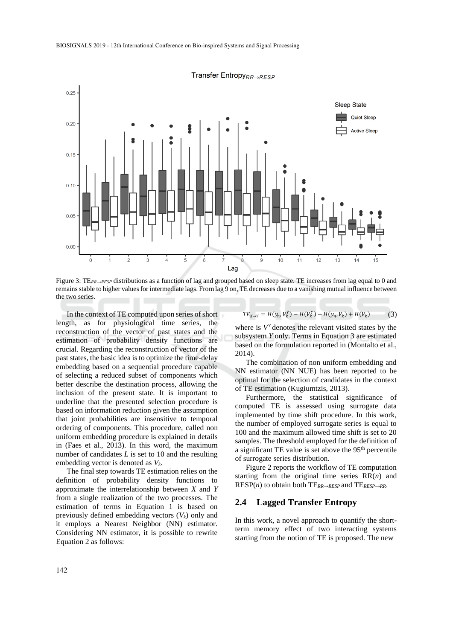

Transfer Entropy<sub>RR→RESP</sub>

Figure 3: TE<sub>RR→RESP</sub> distributions as a function of lag and grouped based on sleep state. TE increases from lag equal to 0 and remains stable to higher values for intermediate lags. From lag 9 on, TE decreases due to a vanishing mutual influence between the two series.

In the context of TE computed upon series of short length, as for physiological time series, the reconstruction of the vector of past states and the estimation of probability density functions are crucial. Regarding the reconstruction of vector of the past states, the basic idea is to optimize the time-delay embedding based on a sequential procedure capable of selecting a reduced subset of components which better describe the destination process, allowing the inclusion of the present state. It is important to underline that the presented selection procedure is based on information reduction given the assumption that joint probabilities are insensitive to temporal ordering of components. This procedure, called non uniform embedding procedure is explained in details in (Faes et al., 2013). In this word, the maximum number of candidates *L* is set to 10 and the resulting embedding vector is denoted as *Vk*.

The final step towards TE estimation relies on the definition of probability density functions to approximate the interrelationship between *X* and *Y* from a single realization of the two processes. The estimation of terms in Equation 1 is based on previously defined embedding vectors (*Vk*) only and it employs a Nearest Neighbor (NN) estimator. Considering NN estimator, it is possible to rewrite Equation 2 as follows:

$$
TE_{X\to Y} = H(y_n, V_k^Y) - H(V_k^Y) - H(y_n, V_k) + H(V_k)
$$
(3)

where is  $V<sup>Y</sup>$  denotes the relevant visited states by the subsystem *Y* only. Terms in Equation 3 are estimated based on the formulation reported in (Montalto et al., 2014).

The combination of non uniform embedding and NN estimator (NN NUE) has been reported to be optimal for the selection of candidates in the context of TE estimation (Kugiumtzis, 2013).

Furthermore, the statistical significance of computed TE is assessed using surrogate data implemented by time shift procedure. In this work, the number of employed surrogate series is equal to 100 and the maximum allowed time shift is set to 20 samples. The threshold employed for the definition of a significant TE value is set above the  $95<sup>th</sup>$  percentile of surrogate series distribution.

Figure 2 reports the workflow of TE computation starting from the original time series RR(*n*) and RESP(*n*) to obtain both TE*RR→RESP* and TE*RESP→RR*.

#### **2.4 Lagged Transfer Entropy**

In this work, a novel approach to quantify the shortterm memory effect of two interacting systems starting from the notion of TE is proposed. The new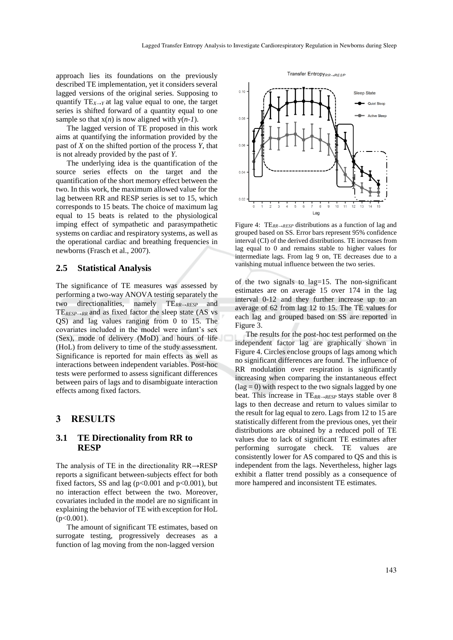approach lies its foundations on the previously described TE implementation, yet it considers several lagged versions of the original series. Supposing to quantify  $TE_{X\rightarrow Y}$  at lag value equal to one, the target series is shifted forward of a quantity equal to one sample so that  $x(n)$  is now aligned with  $y(n-1)$ .

The lagged version of TE proposed in this work aims at quantifying the information provided by the past of *X* on the shifted portion of the process *Y*, that is not already provided by the past of *Y*.

The underlying idea is the quantification of the source series effects on the target and the quantification of the short memory effect between the two. In this work, the maximum allowed value for the lag between RR and RESP series is set to 15, which corresponds to 15 beats. The choice of maximum lag equal to 15 beats is related to the physiological imping effect of sympathetic and parasympathetic systems on cardiac and respiratory systems, as well as the operational cardiac and breathing frequencies in newborns (Frasch et al., 2007).

#### **2.5 Statistical Analysis**

The significance of TE measures was assessed by performing a two-way ANOVA testing separately the two directionalities, namely TE*RR→RESP* and TE*RESP→RR* and as fixed factor the sleep state (AS vs QS) and lag values ranging from 0 to 15. The covariates included in the model were infant's sex (Sex), mode of delivery (MoD) and hours of life (HoL) from delivery to time of the study assessment. Significance is reported for main effects as well as interactions between independent variables. Post-hoc tests were performed to assess significant differences between pairs of lags and to disambiguate interaction effects among fixed factors.

#### **3 RESULTS**

#### **3.1 TE Directionality from RR to RESP**

The analysis of TE in the directionality RR→RESP reports a significant between-subjects effect for both fixed factors, SS and lag ( $p<0.001$  and  $p<0.001$ ), but no interaction effect between the two. Moreover, covariates included in the model are no significant in explaining the behavior of TE with exception for HoL (p<0.001).

The amount of significant TE estimates, based on surrogate testing, progressively decreases as a function of lag moving from the non-lagged version



Figure 4: TE*RR→RESP* distributions as a function of lag and grouped based on SS. Error bars represent 95% confidence interval (CI) of the derived distributions. TE increases from lag equal to 0 and remains stable to higher values for intermediate lags. From lag 9 on, TE decreases due to a vanishing mutual influence between the two series.

of the two signals to lag=15. The non-significant estimates are on average 15 over 174 in the lag interval 0-12 and they further increase up to an average of 62 from lag 12 to 15. The TE values for each lag and grouped based on SS are reported in Figure 3.

The results for the post-hoc test performed on the independent factor lag are graphically shown in Figure 4. Circles enclose groups of lags among which no significant differences are found. The influence of RR modulation over respiration is significantly increasing when comparing the instantaneous effect  $(lag = 0)$  with respect to the two signals lagged by one beat. This increase in TE*RR→RESP* stays stable over 8 lags to then decrease and return to values similar to the result for lag equal to zero. Lags from 12 to 15 are statistically different from the previous ones, yet their distributions are obtained by a reduced poll of TE values due to lack of significant TE estimates after performing surrogate check. TE values are consistently lower for AS compared to QS and this is independent from the lags. Nevertheless, higher lags exhibit a flatter trend possibly as a consequence of more hampered and inconsistent TE estimates.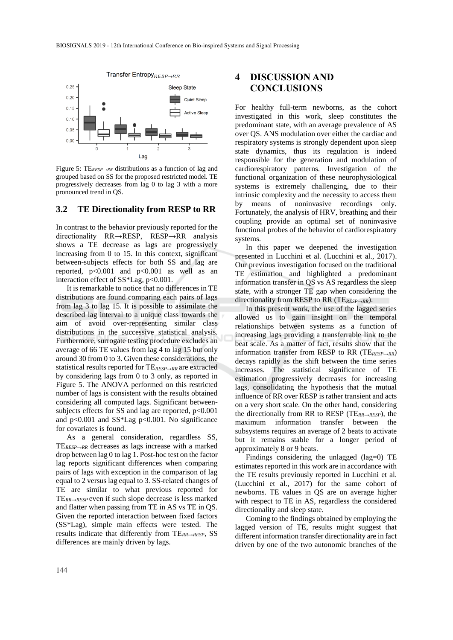

Figure 5: TE*RESP→RR* distributions as a function of lag and grouped based on SS for the proposed restricted model. TE progressively decreases from lag 0 to lag 3 with a more pronounced trend in QS.

#### **3.2 TE Directionality from RESP to RR**

In contrast to the behavior previously reported for the directionality RR→RESP, RESP→RR analysis shows a TE decrease as lags are progressively increasing from 0 to 15. In this context, significant between-subjects effects for both SS and lag are reported,  $p<0.001$  and  $p<0.001$  as well as an interaction effect of SS\*Lag, p<0.001.

It is remarkable to notice that no differences in TE distributions are found comparing each pairs of lags from lag 3 to lag 15. It is possible to assimilate the described lag interval to a unique class towards the aim of avoid over-representing similar class distributions in the successive statistical analysis. Furthermore, surrogate testing procedure excludes an average of 66 TE values from lag 4 to lag 15 but only around 30 from 0 to 3. Given these considerations, the statistical results reported for TE*RESP→RR* are extracted by considering lags from 0 to 3 only, as reported in Figure 5. The ANOVA performed on this restricted number of lags is consistent with the results obtained considering all computed lags. Significant betweensubjects effects for SS and lag are reported, p<0.001 and  $p<0.001$  and  $SS*Lag$   $p<0.001$ . No significance for covariates is found.

As a general consideration, regardless SS, TE*RESP→RR* decreases as lags increase with a marked drop between lag 0 to lag 1. Post-hoc test on the factor lag reports significant differences when comparing pairs of lags with exception in the comparison of lag equal to 2 versus lag equal to 3. SS-related changes of TE are similar to what previous reported for TE*RR→RESP* even if such slope decrease is less marked and flatter when passing from TE in AS vs TE in QS. Given the reported interaction between fixed factors (SS\*Lag), simple main effects were tested. The results indicate that differently from TE*RR→RESP,* SS differences are mainly driven by lags.

## **4 DISCUSSION AND CONCLUSIONS**

For healthy full-term newborns, as the cohort investigated in this work, sleep constitutes the predominant state, with an average prevalence of AS over QS. ANS modulation over either the cardiac and respiratory systems is strongly dependent upon sleep state dynamics, thus its regulation is indeed responsible for the generation and modulation of cardiorespiratory patterns. Investigation of the functional organization of these neurophysiological systems is extremely challenging, due to their intrinsic complexity and the necessity to access them by means of noninvasive recordings only. Fortunately, the analysis of HRV, breathing and their coupling provide an optimal set of noninvasive functional probes of the behavior of cardiorespiratory systems.

In this paper we deepened the investigation presented in Lucchini et al. (Lucchini et al., 2017). Our previous investigation focused on the traditional TE estimation and highlighted a predominant information transfer in QS vs AS regardless the sleep state, with a stronger TE gap when considering the directionality from RESP to RR (TE*RESP→RR*).

In this present work, the use of the lagged series allowed us to gain insight on the temporal relationships between systems as a function of increasing lags providing a transferrable link to the beat scale. As a matter of fact, results show that the information transfer from RESP to RR (TE*RESP→RR*) decays rapidly as the shift between the time series increases. The statistical significance of TE estimation progressively decreases for increasing lags, consolidating the hypothesis that the mutual influence of RR over RESP is rather transient and acts on a very short scale. On the other hand, considering the directionally from RR to RESP (TE*RR→RESP*), the maximum information transfer between the subsystems requires an average of 2 beats to activate but it remains stable for a longer period of approximately 8 or 9 beats.

Findings considering the unlagged (lag=0) TE estimates reported in this work are in accordance with the TE results previously reported in Lucchini et al. (Lucchini et al., 2017) for the same cohort of newborns. TE values in QS are on average higher with respect to TE in AS, regardless the considered directionality and sleep state.

Coming to the findings obtained by employing the lagged version of TE, results might suggest that different information transfer directionality are in fact driven by one of the two autonomic branches of the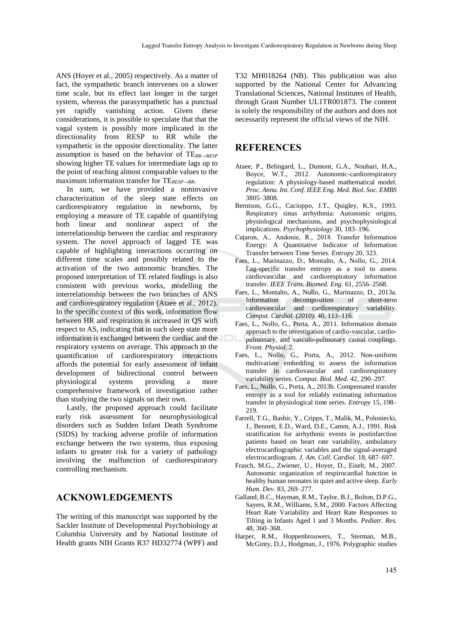ANS (Hoyer et al., 2005) respectively. As a matter of fact, the sympathetic branch intervenes on a slower time scale, but its effect last longer in the target system, whereas the parasympathetic has a punctual yet rapidly vanishing action. Given these considerations, it is possible to speculate that that the vagal system is possibly more implicated in the directionality from RESP to RR while the sympathetic in the opposite directionality. The latter assumption is based on the behavior of TE*RR→RESP*  showing higher TE values for intermediate lags up to the point of reaching almost comparable values to the maximum information transfer for TE*RESP→RR*.

In sum, we have provided a noninvasive characterization of the sleep state effects on cardiorespiratory regulation in newborns, by employing a measure of TE capable of quantifying both linear and nonlinear aspect of the interrelationship between the cardiac and respiratory system. The novel approach of lagged TE was capable of highlighting interactions occurring on different time scales and possibly related to the activation of the two autonomic branches. The proposed interpretation of TE related findings is also consistent with previous works, modelling the interrelationship between the two branches of ANS and cardiorespiratory regulation (Ataee et al., 2012). In the specific context of this work, information flow between HR and respiration is increased in QS with respect to AS, indicating that in such sleep state more information is exchanged between the cardiac and the respiratory systems on average. This approach to the quantification of cardiorespiratory interactions affords the potential for early assessment of infant development of bidirectional control between physiological systems providing a more comprehensive framework of investigation rather than studying the two signals on their own.

Lastly, the proposed approach could facilitate early risk assessment for neurophysiological disorders such as Sudden Infant Death Syndrome (SIDS) by tracking adverse profile of information exchange between the two systems, thus exposing infants to greater risk for a variety of pathology involving the malfunction of cardiorespiratory controlling mechanism.

## **ACKNOWLEDGEMENTS**

The writing of this manuscript was supported by the Sackler Institute of Developmental Psychobiology at Columbia University and by National Institute of Health grants NIH Grants R37 HD32774 (WPF) and T32 MH018264 (NB). This publication was also supported by the National Center for Advancing Translational Sciences, National Institutes of Health, through Grant Number UL1TR001873. The content is solely the responsibility of the authors and does not necessarily represent the official views of the NIH.

## **REFERENCES**

- Ataee, P., Belingard, L., Dumont, G.A., Noubari, H.A., Boyce, W.T., 2012. Autonomic-cardiorespiratory regulation: A physiology-based mathematical model. *Proc. Annu. Int. Conf. IEEE Eng. Med. Biol. Soc. EMBS* 3805–3808.
- Berntson, G.G., Cacioppo, J.T., Quigley, K.S., 1993. Respiratory sinus arrhythmia: Autonomic origins, physiological mechanisms, and psychophysiological implications. *Psychophysiology* 30, 183–196.
- Caţaron, A., Andonie, R., 2018. Transfer Information Energy: A Quantitative Indicator of Information Transfer between Time Series. *Entropy* 20, 323.
- Faes, L., Marinazzo, D., Montalto, A., Nollo, G., 2014. Lag-specific transfer entropy as a tool to assess cardiovascular and cardiorespiratory information transfer. *IEEE Trans. Biomed. Eng.* 61, 2556–2568.
- Faes, L., Montalto, A., Nollo, G., Marinazzo, D., 2013a. Information decomposition of short-term cardiovascular and cardiorespiratory variability. *Comput. Cardiol. (2010).* 40, 113–116.
- Faes, L., Nollo, G., Porta, A., 2011. Information domain approach to the investigation of cardio-vascular, cardiopulmonary, and vasculo-pulmonary causal couplings. *Front. Physiol.* 2.
- Faes, L., Nollo, G., Porta, A., 2012. Non-uniform multivariate embedding to assess the information transfer in cardiovascular and cardiorespiratory variability series. *Comput. Biol. Med.* 42, 290–297.
- Faes, L., Nollo, G., Porta, A., 2013b. Compensated transfer entropy as a tool for reliably estimating information transfer in physiological time series. *Entropy* 15, 198– 219.
- Farrell, T.G., Bashir, Y., Cripps, T., Malik, M., Poloniecki, J., Bennett, E.D., Ward, D.E., Camm, A.J., 1991. Risk stratification for arrhythmic events in postinfarction patients based on heart rate variability, ambulatory electrocardiographic variables and the signal-averaged electrocardiogram. *J. Am. Coll. Cardiol.* 18, 687–697.
- Frasch, M.G., Zwiener, U., Hoyer, D., Eiselt, M., 2007. Autonomic organization of respirocardial function in healthy human neonates in quiet and active sleep. *Early Hum. Dev.* 83, 269–277.
- Galland, B.C., Hayman, R.M., Taylor, B.J., Bolton, D.P.G., Sayers, R.M., Williams, S.M., 2000. Factors Affecting Heart Rate Variability and Heart Rate Responses to Tilting in Infants Aged 1 and 3 Months. *Pediatr. Res.* 48, 360–368.
- Harper, R.M., Hoppenbrouwers, T., Sterman, M.B., McGinty, D.J., Hodgman, J., 1976. Polygraphic studies